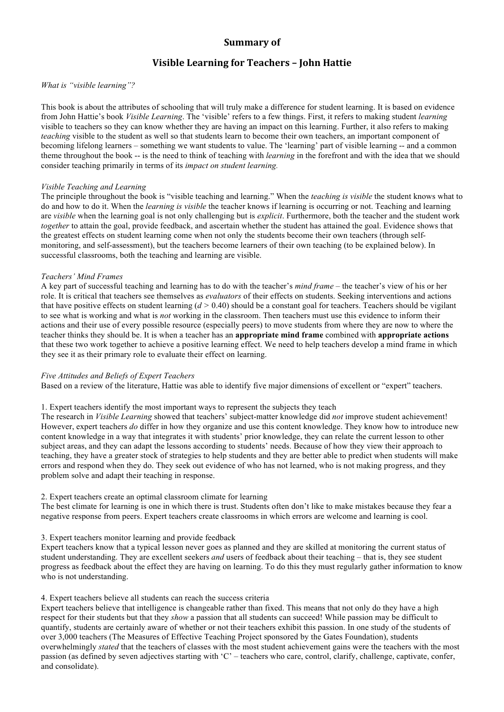# **Summary** of

# **Visible Learning for Teachers – John Hattie**

#### *What is "visible learning"?*

This book is about the attributes of schooling that will truly make a difference for student learning. It is based on evidence from John Hattie's book *Visible Learning*. The 'visible' refers to a few things. First, it refers to making student *learning*  visible to teachers so they can know whether they are having an impact on this learning. Further, it also refers to making *teaching* visible to the student as well so that students learn to become their own teachers, an important component of becoming lifelong learners – something we want students to value. The 'learning' part of visible learning -- and a common theme throughout the book -- is the need to think of teaching with *learning* in the forefront and with the idea that we should consider teaching primarily in terms of its *impact on student learning.* 

### *Visible Teaching and Learning*

The principle throughout the book is "visible teaching and learning." When the *teaching is visible* the student knows what to do and how to do it. When the *learning is visible* the teacher knows if learning is occurring or not. Teaching and learning are *visible* when the learning goal is not only challenging but is *explicit*. Furthermore, both the teacher and the student work *together* to attain the goal, provide feedback, and ascertain whether the student has attained the goal. Evidence shows that the greatest effects on student learning come when not only the students become their own teachers (through selfmonitoring, and self-assessment), but the teachers become learners of their own teaching (to be explained below). In successful classrooms, both the teaching and learning are visible.

### *Teachers' Mind Frames*

A key part of successful teaching and learning has to do with the teacher's *mind frame* – the teacher's view of his or her role. It is critical that teachers see themselves as *evaluators* of their effects on students. Seeking interventions and actions that have positive effects on student learning  $(d > 0.40)$  should be a constant goal for teachers. Teachers should be vigilant to see what is working and what is *not* working in the classroom. Then teachers must use this evidence to inform their actions and their use of every possible resource (especially peers) to move students from where they are now to where the teacher thinks they should be. It is when a teacher has an **appropriate mind frame** combined with **appropriate actions**  that these two work together to achieve a positive learning effect. We need to help teachers develop a mind frame in which they see it as their primary role to evaluate their effect on learning.

#### *Five Attitudes and Beliefs of Expert Teachers*

Based on a review of the literature, Hattie was able to identify five major dimensions of excellent or "expert" teachers.

#### 1. Expert teachers identify the most important ways to represent the subjects they teach

The research in *Visible Learning* showed that teachers' subject-matter knowledge did *not* improve student achievement! However, expert teachers *do* differ in how they organize and use this content knowledge. They know how to introduce new content knowledge in a way that integrates it with students' prior knowledge, they can relate the current lesson to other subject areas, and they can adapt the lessons according to students' needs. Because of how they view their approach to teaching, they have a greater stock of strategies to help students and they are better able to predict when students will make errors and respond when they do. They seek out evidence of who has not learned, who is not making progress, and they problem solve and adapt their teaching in response.

#### 2. Expert teachers create an optimal classroom climate for learning

The best climate for learning is one in which there is trust. Students often don't like to make mistakes because they fear a negative response from peers. Expert teachers create classrooms in which errors are welcome and learning is cool.

#### 3. Expert teachers monitor learning and provide feedback

Expert teachers know that a typical lesson never goes as planned and they are skilled at monitoring the current status of student understanding. They are excellent seekers *and* users of feedback about their teaching – that is, they see student progress as feedback about the effect they are having on learning. To do this they must regularly gather information to know who is not understanding.

### 4. Expert teachers believe all students can reach the success criteria

Expert teachers believe that intelligence is changeable rather than fixed. This means that not only do they have a high respect for their students but that they *show* a passion that all students can succeed! While passion may be difficult to quantify, students are certainly aware of whether or not their teachers exhibit this passion. In one study of the students of over 3,000 teachers (The Measures of Effective Teaching Project sponsored by the Gates Foundation), students overwhelmingly *stated* that the teachers of classes with the most student achievement gains were the teachers with the most passion (as defined by seven adjectives starting with 'C' – teachers who care, control, clarify, challenge, captivate, confer, and consolidate).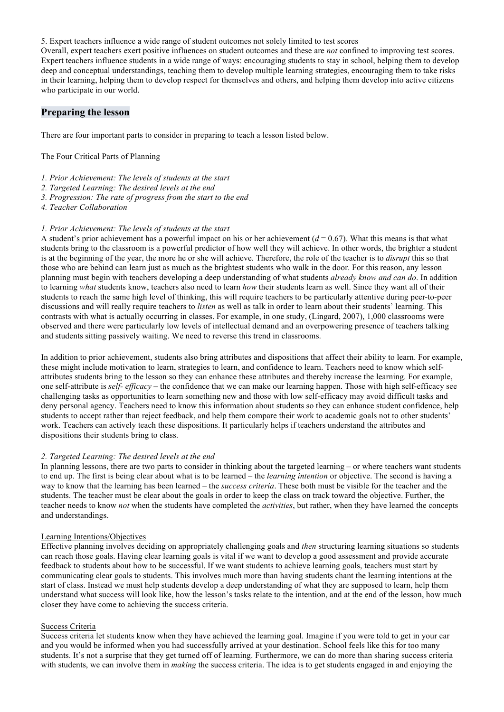5. Expert teachers influence a wide range of student outcomes not solely limited to test scores

Overall, expert teachers exert positive influences on student outcomes and these are *not* confined to improving test scores. Expert teachers influence students in a wide range of ways: encouraging students to stay in school, helping them to develop deep and conceptual understandings, teaching them to develop multiple learning strategies, encouraging them to take risks in their learning, helping them to develop respect for themselves and others, and helping them develop into active citizens who participate in our world.

## **Preparing the lesson**

There are four important parts to consider in preparing to teach a lesson listed below.

The Four Critical Parts of Planning

- *1. Prior Achievement: The levels of students at the start*
- *2. Targeted Learning: The desired levels at the end*
- *3. Progression: The rate of progress from the start to the end*
- *4. Teacher Collaboration*

### *1. Prior Achievement: The levels of students at the start*

A student's prior achievement has a powerful impact on his or her achievement  $(d = 0.67)$ . What this means is that what students bring to the classroom is a powerful predictor of how well they will achieve. In other words, the brighter a student is at the beginning of the year, the more he or she will achieve. Therefore, the role of the teacher is to *disrupt* this so that those who are behind can learn just as much as the brightest students who walk in the door. For this reason, any lesson planning must begin with teachers developing a deep understanding of what students *already know and can do*. In addition to learning *what* students know, teachers also need to learn *how* their students learn as well. Since they want all of their students to reach the same high level of thinking, this will require teachers to be particularly attentive during peer-to-peer discussions and will really require teachers to *listen* as well as talk in order to learn about their students' learning. This contrasts with what is actually occurring in classes. For example, in one study, (Lingard, 2007), 1,000 classrooms were observed and there were particularly low levels of intellectual demand and an overpowering presence of teachers talking and students sitting passively waiting. We need to reverse this trend in classrooms.

In addition to prior achievement, students also bring attributes and dispositions that affect their ability to learn. For example, these might include motivation to learn, strategies to learn, and confidence to learn. Teachers need to know which selfattributes students bring to the lesson so they can enhance these attributes and thereby increase the learning. For example, one self-attribute is *self- efficacy* – the confidence that we can make our learning happen. Those with high self-efficacy see challenging tasks as opportunities to learn something new and those with low self-efficacy may avoid difficult tasks and deny personal agency. Teachers need to know this information about students so they can enhance student confidence, help students to accept rather than reject feedback, and help them compare their work to academic goals not to other students' work. Teachers can actively teach these dispositions. It particularly helps if teachers understand the attributes and dispositions their students bring to class.

#### *2. Targeted Learning: The desired levels at the end*

In planning lessons, there are two parts to consider in thinking about the targeted learning – or where teachers want students to end up. The first is being clear about what is to be learned – the *learning intention* or objective. The second is having a way to know that the learning has been learned – the *success criteria*. These both must be visible for the teacher and the students. The teacher must be clear about the goals in order to keep the class on track toward the objective. Further, the teacher needs to know *not* when the students have completed the *activities*, but rather, when they have learned the concepts and understandings.

#### Learning Intentions/Objectives

Effective planning involves deciding on appropriately challenging goals and *then* structuring learning situations so students can reach those goals. Having clear learning goals is vital if we want to develop a good assessment and provide accurate feedback to students about how to be successful. If we want students to achieve learning goals, teachers must start by communicating clear goals to students. This involves much more than having students chant the learning intentions at the start of class. Instead we must help students develop a deep understanding of what they are supposed to learn, help them understand what success will look like, how the lesson's tasks relate to the intention, and at the end of the lesson, how much closer they have come to achieving the success criteria.

### Success Criteria

Success criteria let students know when they have achieved the learning goal. Imagine if you were told to get in your car and you would be informed when you had successfully arrived at your destination. School feels like this for too many students. It's not a surprise that they get turned off of learning. Furthermore, we can do more than sharing success criteria with students, we can involve them in *making* the success criteria. The idea is to get students engaged in and enjoying the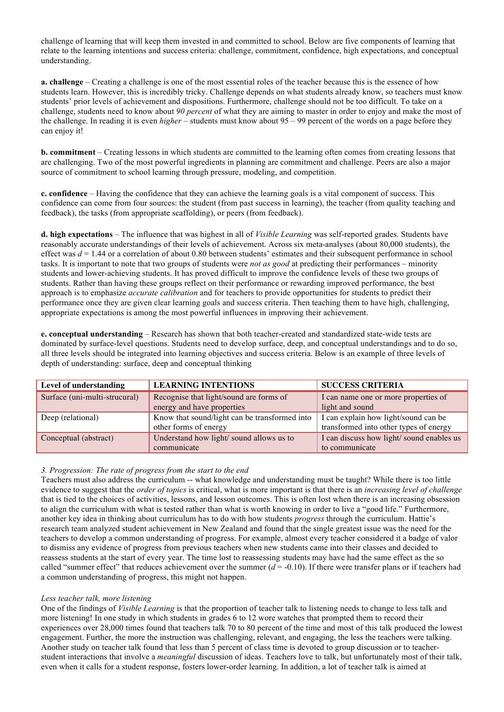challenge of learning that will keep them invested in and committed to school. Below are five components of learning that relate to the learning intentions and success criteria: challenge, commitment, confidence, high expectations, and conceptual understanding.

**a. challenge** – Creating a challenge is one of the most essential roles of the teacher because this is the essence of how students learn. However, this is incredibly tricky. Challenge depends on what students already know, so teachers must know students' prior levels of achievement and dispositions. Furthermore, challenge should not be too difficult. To take on a challenge, students need to know about *90 percent* of what they are aiming to master in order to enjoy and make the most of the challenge. In reading it is even *higher* – students must know about 95 – 99 percent of the words on a page before they can enjoy it!

**b. commitment** – Creating lessons in which students are committed to the learning often comes from creating lessons that are challenging. Two of the most powerful ingredients in planning are commitment and challenge. Peers are also a major source of commitment to school learning through pressure, modeling, and competition.

**c. confidence** – Having the confidence that they can achieve the learning goals is a vital component of success. This confidence can come from four sources: the student (from past success in learning), the teacher (from quality teaching and feedback), the tasks (from appropriate scaffolding), or peers (from feedback).

**d. high expectations** – The influence that was highest in all of *Visible Learning* was self-reported grades. Students have reasonably accurate understandings of their levels of achievement. Across six meta-analyses (about 80,000 students), the effect was *d* = 1.44 or a correlation of about 0.80 between students' estimates and their subsequent performance in school tasks. It is important to note that two groups of students were *not as good* at predicting their performances – minority students and lower-achieving students. It has proved difficult to improve the confidence levels of these two groups of students. Rather than having these groups reflect on their performance or rewarding improved performance, the best approach is to emphasize *accurate calibration* and for teachers to provide opportunities for students to predict their performance once they are given clear learning goals and success criteria. Then teaching them to have high, challenging, appropriate expectations is among the most powerful influences in improving their achievement.

**e. conceptual understanding** – Research has shown that both teacher-created and standardized state-wide tests are dominated by surface-level questions. Students need to develop surface, deep, and conceptual understandings and to do so, all three levels should be integrated into learning objectives and success criteria. Below is an example of three levels of depth of understanding: surface, deep and conceptual thinking

| Level of understanding        | <b>LEARNING INTENTIONS</b>                                            | <b>SUCCESS CRITERIA</b>                                 |
|-------------------------------|-----------------------------------------------------------------------|---------------------------------------------------------|
| Surface (uni-multi-strucural) | Recognise that light/sound are forms of<br>energy and have properties | I can name one or more properties of<br>light and sound |
|                               |                                                                       |                                                         |
| Deep (relational)             | Know that sound/light can be transformed into                         | I can explain how light/sound can be                    |
|                               | other forms of energy                                                 | transformed into other types of energy                  |
| Conceptual (abstract)         | Understand how light/ sound allows us to                              | I can discuss how light/ sound enables us               |
|                               | communicate                                                           | to communicate                                          |

### *3. Progression: The rate of progress from the start to the end*

Teachers must also address the curriculum -- what knowledge and understanding must be taught? While there is too little evidence to suggest that the *order of topics* is critical, what is more important is that there is an *increasing level of challenge*  that is tied to the choices of activities, lessons, and lesson outcomes. This is often lost when there is an increasing obsession to align the curriculum with what is tested rather than what is worth knowing in order to live a "good life." Furthermore, another key idea in thinking about curriculum has to do with how students *progress* through the curriculum. Hattie's research team analyzed student achievement in New Zealand and found that the single greatest issue was the need for the teachers to develop a common understanding of progress. For example, almost every teacher considered it a badge of valor to dismiss any evidence of progress from previous teachers when new students came into their classes and decided to reassess students at the start of every year. The time lost to reassessing students may have had the same effect as the so called "summer effect" that reduces achievement over the summer  $(d = -0.10)$ . If there were transfer plans or if teachers had a common understanding of progress, this might not happen.

### *Less teacher talk, more listening*

One of the findings of *Visible Learning* is that the proportion of teacher talk to listening needs to change to less talk and more listening! In one study in which students in grades 6 to 12 wore watches that prompted them to record their experiences over 28,000 times found that teachers talk 70 to 80 percent of the time and most of this talk produced the lowest engagement. Further, the more the instruction was challenging, relevant, and engaging, the less the teachers were talking. Another study on teacher talk found that less than 5 percent of class time is devoted to group discussion or to teacherstudent interactions that involve a *meaningful* discussion of ideas. Teachers love to talk, but unfortunately most of their talk, even when it calls for a student response, fosters lower-order learning. In addition, a lot of teacher talk is aimed at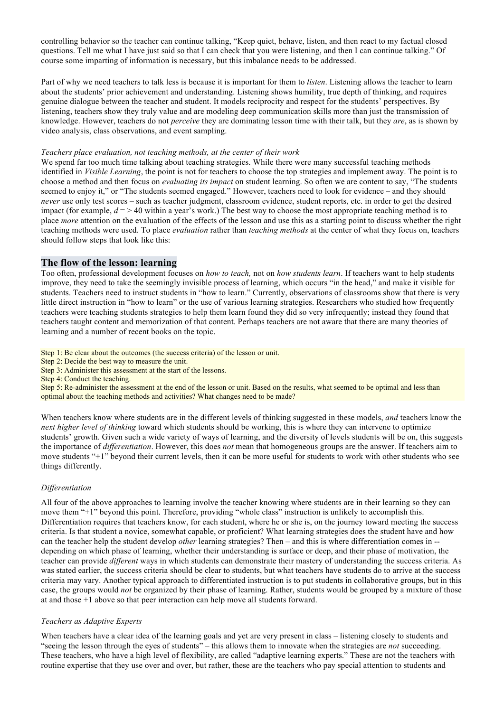controlling behavior so the teacher can continue talking, "Keep quiet, behave, listen, and then react to my factual closed questions. Tell me what I have just said so that I can check that you were listening, and then I can continue talking." Of course some imparting of information is necessary, but this imbalance needs to be addressed.

Part of why we need teachers to talk less is because it is important for them to *listen*. Listening allows the teacher to learn about the students' prior achievement and understanding. Listening shows humility, true depth of thinking, and requires genuine dialogue between the teacher and student. It models reciprocity and respect for the students' perspectives. By listening, teachers show they truly value and are modeling deep communication skills more than just the transmission of knowledge. However, teachers do not *perceive* they are dominating lesson time with their talk, but they *are*, as is shown by video analysis, class observations, and event sampling.

#### *Teachers place evaluation, not teaching methods, at the center of their work*

We spend far too much time talking about teaching strategies. While there were many successful teaching methods identified in *Visible Learning*, the point is not for teachers to choose the top strategies and implement away. The point is to choose a method and then focus on *evaluating its impact* on student learning. So often we are content to say, "The students seemed to enjoy it," or "The students seemed engaged." However, teachers need to look for evidence – and they should *never* use only test scores – such as teacher judgment, classroom evidence, student reports, etc. in order to get the desired impact (for example,  $d = 240$  within a year's work.) The best way to choose the most appropriate teaching method is to place *more* attention on the evaluation of the effects of the lesson and use this as a starting point to discuss whether the right teaching methods were used. To place *evaluation* rather than *teaching methods* at the center of what they focus on, teachers should follow steps that look like this:

## **The flow of the lesson: learning**

Too often, professional development focuses on *how to teach,* not on *how students learn*. If teachers want to help students improve, they need to take the seemingly invisible process of learning, which occurs "in the head," and make it visible for students. Teachers need to instruct students in "how to learn." Currently, observations of classrooms show that there is very little direct instruction in "how to learn" or the use of various learning strategies. Researchers who studied how frequently teachers were teaching students strategies to help them learn found they did so very infrequently; instead they found that teachers taught content and memorization of that content. Perhaps teachers are not aware that there are many theories of learning and a number of recent books on the topic.

Step 1: Be clear about the outcomes (the success criteria) of the lesson or unit.

Step 2: Decide the best way to measure the unit.

Step 3: Administer this assessment at the start of the lessons.

Step 4: Conduct the teaching.

Step 5: Re-administer the assessment at the end of the lesson or unit. Based on the results, what seemed to be optimal and less than optimal about the teaching methods and activities? What changes need to be made?

When teachers know where students are in the different levels of thinking suggested in these models, *and* teachers know the *next higher level of thinking* toward which students should be working, this is where they can intervene to optimize students' growth. Given such a wide variety of ways of learning, and the diversity of levels students will be on, this suggests the importance of *differentiation*. However, this does *not* mean that homogeneous groups are the answer. If teachers aim to move students "+1" beyond their current levels, then it can be more useful for students to work with other students who see things differently.

#### *Differentiation*

All four of the above approaches to learning involve the teacher knowing where students are in their learning so they can move them "+1" beyond this point. Therefore, providing "whole class" instruction is unlikely to accomplish this. Differentiation requires that teachers know, for each student, where he or she is, on the journey toward meeting the success criteria. Is that student a novice, somewhat capable, or proficient? What learning strategies does the student have and how can the teacher help the student develop *other* learning strategies? Then – and this is where differentiation comes in - depending on which phase of learning, whether their understanding is surface or deep, and their phase of motivation, the teacher can provide *different* ways in which students can demonstrate their mastery of understanding the success criteria. As was stated earlier, the success criteria should be clear to students, but what teachers have students do to arrive at the success criteria may vary. Another typical approach to differentiated instruction is to put students in collaborative groups, but in this case, the groups would *not* be organized by their phase of learning. Rather, students would be grouped by a mixture of those at and those +1 above so that peer interaction can help move all students forward.

#### *Teachers as Adaptive Experts*

When teachers have a clear idea of the learning goals and yet are very present in class – listening closely to students and "seeing the lesson through the eyes of students" – this allows them to innovate when the strategies are *not* succeeding. These teachers, who have a high level of flexibility, are called "adaptive learning experts." These are not the teachers with routine expertise that they use over and over, but rather, these are the teachers who pay special attention to students and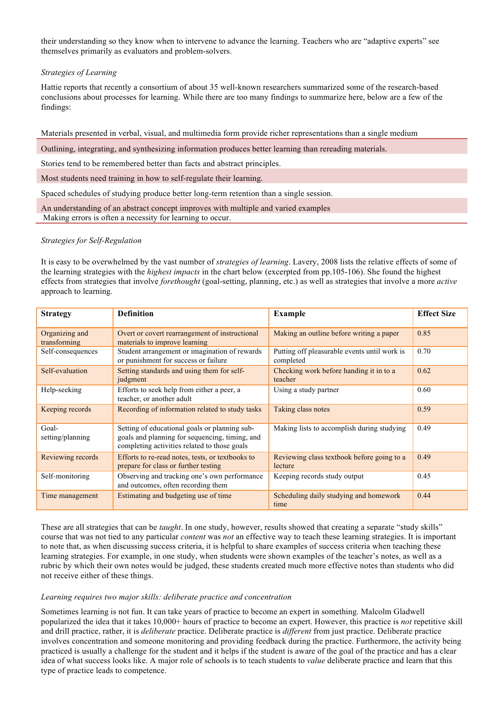their understanding so they know when to intervene to advance the learning. Teachers who are "adaptive experts" see themselves primarily as evaluators and problem-solvers.

### *Strategies of Learning*

Hattie reports that recently a consortium of about 35 well-known researchers summarized some of the research-based conclusions about processes for learning. While there are too many findings to summarize here, below are a few of the findings:

Materials presented in verbal, visual, and multimedia form provide richer representations than a single medium

Outlining, integrating, and synthesizing information produces better learning than rereading materials.

Stories tend to be remembered better than facts and abstract principles.

Most students need training in how to self-regulate their learning.

Spaced schedules of studying produce better long-term retention than a single session.

An understanding of an abstract concept improves with multiple and varied examples Making errors is often a necessity for learning to occur.

#### *Strategies for Self-Regulation*

It is easy to be overwhelmed by the vast number of *strategies of learning*. Lavery, 2008 lists the relative effects of some of the learning strategies with the *highest impacts* in the chart below (excerpted from pp.105-106). She found the highest effects from strategies that involve *forethought* (goal-setting, planning, etc.) as well as strategies that involve a more *active*  approach to learning.

| <b>Strategy</b>                | <b>Definition</b>                                                                                                                               | <b>Example</b>                                            | <b>Effect Size</b> |
|--------------------------------|-------------------------------------------------------------------------------------------------------------------------------------------------|-----------------------------------------------------------|--------------------|
| Organizing and<br>transforming | Overt or covert rearrangement of instructional<br>materials to improve learning                                                                 | Making an outline before writing a paper                  | 0.85               |
| Self-consequences              | Student arrangement or imagination of rewards<br>or punishment for success or failure                                                           | Putting off pleasurable events until work is<br>completed | 0.70               |
| Self-evaluation                | Setting standards and using them for self-<br>judgment                                                                                          | Checking work before handing it in to a<br>teacher        | 0.62               |
| Help-seeking                   | Efforts to seek help from either a peer, a<br>teacher, or another adult                                                                         | Using a study partner                                     | 0.60               |
| Keeping records                | Recording of information related to study tasks                                                                                                 | Taking class notes                                        | 0.59               |
| Goal-<br>setting/planning      | Setting of educational goals or planning sub-<br>goals and planning for sequencing, timing, and<br>completing activities related to those goals | Making lists to accomplish during studying                | 0.49               |
| Reviewing records              | Efforts to re-read notes, tests, or textbooks to<br>prepare for class or further testing                                                        | Reviewing class textbook before going to a<br>lecture     | 0.49               |
| Self-monitoring                | Observing and tracking one's own performance<br>and outcomes, often recording them                                                              | Keeping records study output                              | 0.45               |
| Time management                | Estimating and budgeting use of time                                                                                                            | Scheduling daily studying and homework<br>time            | 0.44               |

These are all strategies that can be *taught*. In one study, however, results showed that creating a separate "study skills" course that was not tied to any particular *content* was *not* an effective way to teach these learning strategies. It is important to note that, as when discussing success criteria, it is helpful to share examples of success criteria when teaching these learning strategies. For example, in one study, when students were shown examples of the teacher's notes, as well as a rubric by which their own notes would be judged, these students created much more effective notes than students who did not receive either of these things.

#### *Learning requires two major skills: deliberate practice and concentration*

Sometimes learning is not fun. It can take years of practice to become an expert in something. Malcolm Gladwell popularized the idea that it takes 10,000+ hours of practice to become an expert. However, this practice is *not* repetitive skill and drill practice, rather, it is *deliberate* practice. Deliberate practice is *different* from just practice. Deliberate practice involves concentration and someone monitoring and providing feedback during the practice. Furthermore, the activity being practiced is usually a challenge for the student and it helps if the student is aware of the goal of the practice and has a clear idea of what success looks like. A major role of schools is to teach students to *value* deliberate practice and learn that this type of practice leads to competence.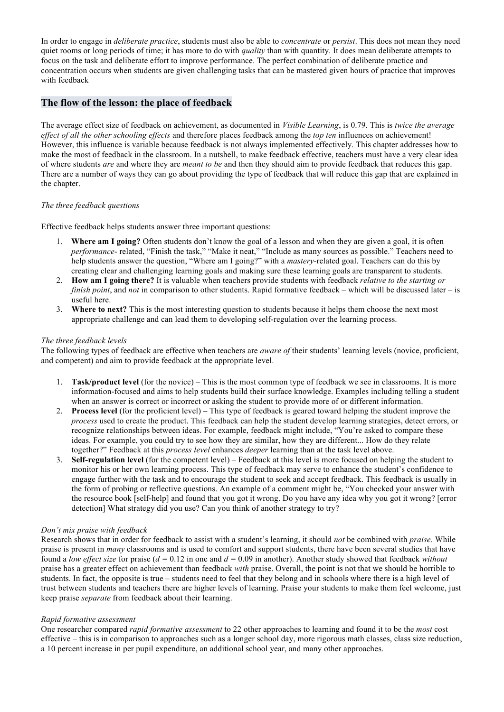In order to engage in *deliberate practice*, students must also be able to *concentrate* or *persist*. This does not mean they need quiet rooms or long periods of time; it has more to do with *quality* than with quantity. It does mean deliberate attempts to focus on the task and deliberate effort to improve performance. The perfect combination of deliberate practice and concentration occurs when students are given challenging tasks that can be mastered given hours of practice that improves with feedback

# **The flow of the lesson: the place of feedback**

The average effect size of feedback on achievement, as documented in *Visible Learning*, is 0.79. This is *twice the average effect of all the other schooling effects* and therefore places feedback among the *top ten* influences on achievement! However, this influence is variable because feedback is not always implemented effectively. This chapter addresses how to make the most of feedback in the classroom. In a nutshell, to make feedback effective, teachers must have a very clear idea of where students *are* and where they are *meant to be* and then they should aim to provide feedback that reduces this gap. There are a number of ways they can go about providing the type of feedback that will reduce this gap that are explained in the chapter.

## *The three feedback questions*

Effective feedback helps students answer three important questions:

- 1. **Where am I going?** Often students don't know the goal of a lesson and when they are given a goal, it is often *performance-* related, "Finish the task," "Make it neat," "Include as many sources as possible." Teachers need to help students answer the question, "Where am I going?" with a *mastery-*related goal. Teachers can do this by creating clear and challenging learning goals and making sure these learning goals are transparent to students.
- 2. **How am I going there?** It is valuable when teachers provide students with feedback *relative to the starting or finish point*, and *not* in comparison to other students. Rapid formative feedback – which will be discussed later – is useful here.
- 3. **Where to next?** This is the most interesting question to students because it helps them choose the next most appropriate challenge and can lead them to developing self-regulation over the learning process.

### *The three feedback levels*

The following types of feedback are effective when teachers are *aware of* their students' learning levels (novice, proficient, and competent) and aim to provide feedback at the appropriate level.

- 1. **Task/product level** (for the novice) This is the most common type of feedback we see in classrooms. It is more information-focused and aims to help students build their surface knowledge. Examples including telling a student when an answer is correct or incorrect or asking the student to provide more of or different information.
- 2. **Process level** (for the proficient level) **–** This type of feedback is geared toward helping the student improve the *process* used to create the product. This feedback can help the student develop learning strategies, detect errors, or recognize relationships between ideas. For example, feedback might include, "You're asked to compare these ideas. For example, you could try to see how they are similar, how they are different... How do they relate together?" Feedback at this *process level* enhances *deeper* learning than at the task level above.
- 3. **Self-regulation level** (for the competent level) Feedback at this level is more focused on helping the student to monitor his or her own learning process. This type of feedback may serve to enhance the student's confidence to engage further with the task and to encourage the student to seek and accept feedback. This feedback is usually in the form of probing or reflective questions. An example of a comment might be, "You checked your answer with the resource book [self-help] and found that you got it wrong. Do you have any idea why you got it wrong? [error detection] What strategy did you use? Can you think of another strategy to try?

### *Don't mix praise with feedback*

Research shows that in order for feedback to assist with a student's learning, it should *not* be combined with *praise*. While praise is present in *many* classrooms and is used to comfort and support students, there have been several studies that have found a *low effect size* for praise (*d =* 0.12 in one and *d =* 0.09 in another). Another study showed that feedback *without*  praise has a greater effect on achievement than feedback *with* praise. Overall, the point is not that we should be horrible to students. In fact, the opposite is true – students need to feel that they belong and in schools where there is a high level of trust between students and teachers there are higher levels of learning. Praise your students to make them feel welcome, just keep praise *separate* from feedback about their learning.

### *Rapid formative assessment*

One researcher compared *rapid formative assessment* to 22 other approaches to learning and found it to be the *most* cost effective – this is in comparison to approaches such as a longer school day, more rigorous math classes, class size reduction, a 10 percent increase in per pupil expenditure, an additional school year, and many other approaches.